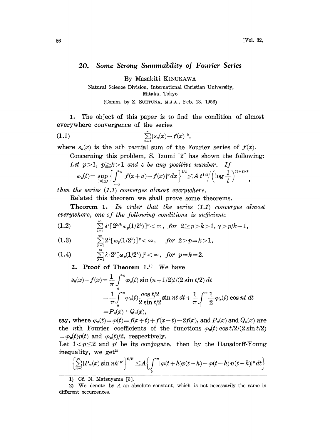,

## 20. Some Strong Summability of Fourier Series

By Masakiti KINUKAWA

Natural Science Division, International Christian University, Mitaka, Tokyo (Comm. by Z. SUETUNA, M.J.A., Feb. 13, 1956)

1. The object of this paper is to find the condition of almost

(1.1) 
$$
\sum_{n=1}^{\infty} |s_n(x) - f(x)|^k,
$$

everywhere convergence of the series

where  $s_n(x)$  is the *n*th partial sum of the Fourier series of  $f(x)$ .

Concerning this problem, S. Izumi  $[2]$  has shown the following: Let  $p>1$ ,  $p\geq k>1$  and  $\varepsilon$  be any positive number. If

$$
\omega_p(t) = \sup_{|u| \leq t} \left\{ \int_{-\pi}^{\pi} |f(x+u) - f(x)|^p dx \right\}^{1/p} \leq A \ t^{1/k} \left( \log \frac{1}{t} \right)^{(1+\epsilon)/k}
$$

then the series (1.1) converges almost everywhere.

Related this theorem we shall prove some theorems.

Theorem 1. In order that the series (1.1) converges almost  $everywhere, one of the following conditions is sufficient:$ 

(1.2) 
$$
\sum_{\lambda=1}^{\infty} \lambda^{r} [2^{\lambda/k} \omega_{p}(1/2^{\lambda})]^{p} < \infty, \text{ for } 2 \geq p > k > 1, \gamma > p/k - 1,
$$

(1.3) 
$$
\sum_{\lambda=1}^{\infty} 2^{\lambda} [\omega_p(1/2^{\lambda})]^p < \infty, \quad \text{for } 2 > p = k > 1,
$$

(1.4) 
$$
\sum_{\lambda=1}^{\infty} \lambda \cdot 2^{\lambda} [\omega_p(1/2^{\lambda})]^p < \infty, \text{ for } p=k=2.
$$

2. Proof of Theorem  $1.^{1}$ . We have

$$
s_n(x) - f(x) = \frac{1}{\pi} \int_0^{\pi} \varphi_x(t) \sin (n+1/2)t/(2 \sin t/2) dt
$$
  
\n
$$
= \frac{1}{\pi} \int_0^{\pi} \varphi_x(t) \frac{\cos t/2}{2 \sin t/2} \sin nt dt + \frac{1}{\pi} \int_0^{\pi} \frac{1}{2} \varphi_x(t) \cos nt dt
$$
  
\n
$$
= P_n(x) + Q_n(x),
$$
  
\nsay, where  $\varphi_x(t) = \varphi(t) = f(x+t) + f(x-t) - 2f(x)$ , and  $P_n(x)$  and  $Q_n(x)$  are

the *n*th Fourier coefficients of the functions  $\varphi_x(t) \cos t/2/(2 \sin t/2)$  $=\varphi_x(t)p(t)$  and  $\varphi_x(t)/2$ , respectively.

Let  $1 < p \leq 2$  and p' be its conjugate, then by the Hausdorff-Young inequality, we get

$$
\left\{\sum_{n=1}^{\infty}|P_n(x)\sin nh|^{p'}\right\}^{p/p'}\leq A\left\{\int_{0}^{\pi}|\varphi(t+h)p(t+h)-\varphi(t-h)p(t-h)|^p\,dt\right\}
$$

1) Cf. N. Matsuyama [3].

<sup>2)</sup> We denote by  $A$  an absolute constant, which is not necessarily the same in different occurrences.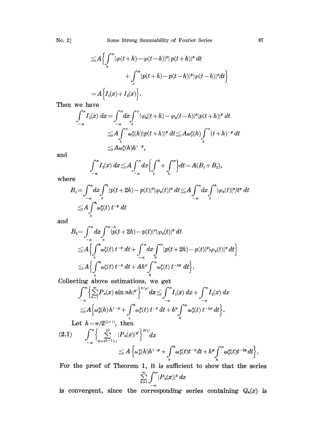No. 2] Some Strong Summability of Fourier Series 87

$$
\leq A \Biggl\{ \int_0^{\pi} |\varphi(t+h) - \varphi(t-h)|^p |p(t+h)|^p dt
$$
  
+ 
$$
\int_0^{\pi} |p(t+h) - p(t-h)|^p |\varphi(t-h)|^p dt \Biggr\}
$$
  
= 
$$
A \Biggl\{ I_1(x) + I_2(x) \Biggr\}.
$$

hen we have

$$
\int_{-\pi}^{\pi} I_i(x) dx = \int_{-\pi}^{\pi} dx \int_{0}^{\pi} |\varphi_x(t+h) - \varphi_x(t-h)|^p |p(t+h)|^p dt
$$
  
\n
$$
\leq A \int_{0}^{\pi} \omega_x^p(h) |p(t+h)|^p dt \leq A \omega_x^p(h) \int_{0}^{\pi} (t+h)^{-p} dt
$$
  
\n
$$
\leq A \omega_x^p(h) h^{1-p},
$$

and

$$
\int_{-\pi}^{\pi} I_2(x) \, dx \leq A \int_{-\pi}^{\pi} dx \Biggl\{ \int_{0}^{h} + \int_{h}^{\pi} \Biggr\} dt = A(B_1 + B_2),
$$

where

$$
B_1 = \int_{-\pi}^{\pi} dx \int_0^h |p(t+2h) - p(t)|^p |\varphi_x(t)|^p dt \leq A \int_{-\pi}^{\pi} dx \int_0^h |\varphi_x(t)|^p / t^p dt
$$
  
\n
$$
\leq A \int_0^h \omega_x^p(t) t^{-p} dt
$$

and

$$
B_2 = \int_{-\pi}^{\pi} dx \int_{0}^{\pi - h} |\dot{p}(t + 2h) - p(t)|^p |\varphi_x(t)|^p dt
$$
  
\n
$$
\leq A \Biggl\{ \int_{0}^{h} \omega_p^p(t) t^{-p} dt + \int_{-\pi}^{\pi} dx \int_{h}^{\pi} |p(t + 2h) - p(t)|^p |\varphi_x(t)|^p dt \Biggr\}
$$
  
\n
$$
\leq A \Biggl\{ \int_{0}^{h} \omega_p^p(t) t^{-p} dt + Ah^p \int_{h}^{\pi} \omega_p^p(t) t^{-2p} dt \Biggr\}.
$$

Collecting above estimations, we get

$$
\int_{-\pi}^{\pi}\left\{\sum_{n=1}^{\infty}P_n(x)\sin nh\vert^{p^*}\right\}^{p/p^*}dx\leq \int_{-\pi}^{\pi}I_1(x)\ dx+\int_{-\pi}^{\pi}I_2(x)\ dx\\ \leq A\Big\{\omega_p^p(h) \ h^{1-p}+\int_{0}^h\omega_p^p(t)\ t^{-p}\ dt+h^p\int_h^{\pi}\omega_p^p(t)\ t^{-2p}\ dt\Big\}.
$$
  
Let  $h=\pi/2^{(N+1)}$ , then

$$
(2.1) \qquad \int_{-\pi}^{\pi} \left\{ \sum_{n=2\lambda-1+1}^{2\lambda} |P_n(x)|^{p'} \right\}^{p/p'} dx
$$
  
\n
$$
\leq A \left\{ \omega_p^p(h) h^{1-p} + \int_0^h \omega_p^p(t) t^{-p} dt + h^p \int_h^{\pi} \omega_p^p(t) t^{-2p} dt \right\}.
$$

For the proof of Theorem 1, it is sufficient to show that the series  $\sum_{n=1}^{\infty}\int_{-\pi}^{\pi}|P_n(x)|^k dx$ 

is convergent, since the corresponding series containing  $Q_n(x)$  is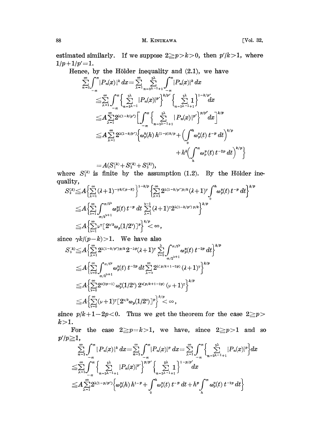estimated similarly. If we suppose  $2\geq p>k>0$ , then  $p'/k>1$ , where  $1/p+1/p'=1.$ 

Hence, by the Hölder inequality and  $(2.1)$ , we have

$$
\sum_{n=2}^{\infty} \int_{-\pi}^{\pi} |P_n(x)|^k dx = \sum_{\lambda=1}^{\infty} \sum_{n=2\lambda=1+1}^{2\lambda} \int_{-\pi}^{\pi} |P_n(x)|^k dx
$$
\n
$$
\leq \sum_{\lambda=1}^{\infty} \int_{-\pi}^{\pi} \left\{ \sum_{n=2\lambda=1}^{2\lambda} |P_n(x)|^p \right\}^{k/p'} \left\{ \sum_{n=2\lambda=1+1}^{2\lambda} \sum_{n=1}^{1-k/p'} dx \right\}
$$
\n
$$
\leq A \sum_{\lambda=1}^{\infty} 2^{\lambda(1-k/p')} \left[ \int_{-\pi}^{\pi} \left\{ \sum_{n=2\lambda=1+1}^{2\lambda} |P_n(x)|^{p'} \right\}^{p/p'} dx \right]^{k/p}
$$
\n
$$
\leq A \sum_{\lambda=1}^{\infty} 2^{\lambda(1-k/p')} \left\{ \omega_p^k(h) h^{(1-p)k/p} + \left( \int_{0}^{h} \omega_p^p(t) t^{-p} dt \right)^{k/p} + h^k \left( \int_{h}^{\pi} \omega_p^p(t) t^{-2p} dt \right)^{k/p} \right\}
$$
\n
$$
= A(S^{(k)} + S^{(k)} + S^{(k)})
$$

 $= A(S_1^{(k)}+S_2^{(k)}+S_3^{(k)}),$ 

where  $S_1^{(k)}$  is finite by the assumption (1.2). By quality,

$$
\begin{aligned} S_2^{(k)} \leq & A \Big\{ \sum_{\lambda=1}^{\infty} (\lambda+1)^{-\tau k/(p-k)} \Big\}^{1-k/p} \Big\{ \sum_{\lambda=1}^{\infty} 2^{\lambda(1-k/p')p/k} (\lambda+1)^{\tau} \int_0^h \omega_p^p(t) \, t^{-p} \, dt \Big\}^{k/p} \\ \leq & A \Big\{ \sum_{\nu=1}^{\infty} \int_{\pi/2^{\nu+1}}^{\pi/2^{\nu}} \omega_p^p(t) \, t^{-p} \, dt \, \sum_{\lambda=1}^{\nu-1} (\lambda+1)^{\tau} 2^{\lambda(1-k/p') \, p/k} \Big\}^{k/p} \\ \leq & A \Big\{ \sum_{\nu=1}^{\infty} \nu^{\tau} [2^{\nu/k} \omega_p(1/2^{\nu})]^p \Big\}^{k/p} < \infty \,, \end{aligned}
$$

since  $\gamma k/(p-k) > 1$ . We have also

$$
\begin{aligned} S_{3}^{(k)} \leq & A \Big\{ \sum\limits_{\lambda=1}^{\infty} 2^{\lambda(1-k/p')p/k} 2^{-\lambda p} (\lambda+1)^{r} \sum\limits_{\nu=0}^{\lambda} \int_{\pi/2^{\nu}}^{\pi/2^{\nu}} \omega_{p}^{p}(t) t^{-2p} \, dt \Big\}^{k/p} \\ \leq & A \Big\{ \sum\limits_{\nu=0}^{\infty} \int_{\pi/2^{\nu+1}}^{\pi/2^{\nu}} \omega_{p}^{p}(t) t^{-2p} \, dt \sum\limits_{\lambda=\nu}^{\infty} 2^{\lambda(p/k+1-2p)} (\lambda+1)^{r} \Big\}^{k/p} \\ \leq & A \Big\{ \sum\limits_{\nu=0}^{\infty} 2^{\nu(2p-1)} \, \omega_{p}^{p}(1/2^{\nu}) \, 2^{\nu(p/k+1-2p)} \, (\nu+1)^{r} \Big\}^{k/p} \\ \leq & A \Big\{ \sum\limits_{\nu=0}^{\infty} (\nu+1)^{r} \big[ 2^{\nu/k} \omega_{p}(1/2^{\nu}) \big]^{p} \Big\}^{k/p} < \infty \,, \end{aligned}
$$

since  $p/k+1-2p<0$ . Thus we get the theorem for the case  $2\geq p>$  $k>1$ .

For the case  $2 \geq p = k > 1$ , we have, since  $2 \geq p > 1$  and so  $p'/p \geq 1$ ,

$$
\sum_{n=2}^{\infty} \int_{-\pi}^{\pi} |P_n(x)|^k dx = \sum_{n=2}^{\infty} \int_{-\pi}^{\pi} |P_n(x)|^p dx = \sum_{\lambda=1}^{\infty} \int_{-\pi}^{\pi} \left\{ \sum_{n=2\lambda-1+1}^{2\lambda} |P_n(x)|^p \right\} dx
$$
  
\n
$$
\leq \sum_{\lambda=1}^{\infty} \int_{-\pi}^{\pi} \left\{ \sum_{n=2\lambda-1+1}^{2\lambda} |P_n(x)|^p \right\}^{p/p'} \left\{ \sum_{n=2\lambda-1+1}^{2\lambda} \frac{1}{p} \right\}^{1-p/p'} dx
$$
  
\n
$$
\leq A \sum_{\lambda=1}^{\infty} 2^{\lambda(1-p/p')} \left\{ \omega_p^p(h) h^{1-p} + \int_0^h \omega_p^p(t) t^{-p} dt + h^p \int_h^{\pi} \omega_p^p(t) t^{-2p} dt \right\}
$$